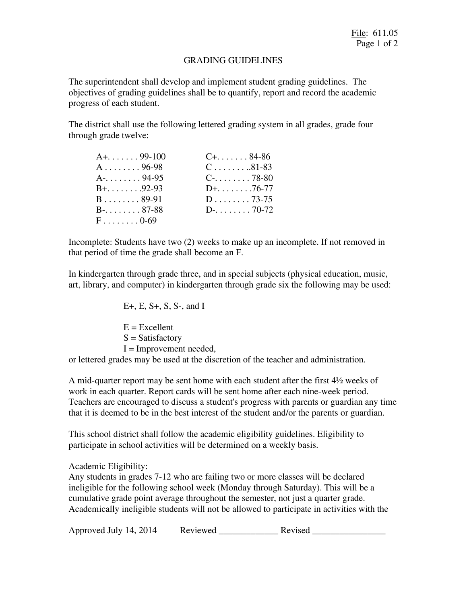## GRADING GUIDELINES

The superintendent shall develop and implement student grading guidelines. The objectives of grading guidelines shall be to quantify, report and record the academic progress of each student.

The district shall use the following lettered grading system in all grades, grade four through grade twelve:

| $A_{1}, \ldots, A_{9-100}$ | $C_{+}$ 84-86           |
|----------------------------|-------------------------|
| $A \ldots \ldots 96-98$    | $C \ldots \ldots 81-83$ |
|                            | $C_{7}$ 78-80           |
| $B_{+}, \ldots$ 92-93      | $D+$ . 76-77            |
| $B \ldots \ldots 89-91$    | $D \ldots \ldots 73-75$ |
| B-. 87-88                  | $D-. \ldots70-72$       |
| $F \ldots \ldots 0.69$     |                         |

Incomplete: Students have two (2) weeks to make up an incomplete. If not removed in that period of time the grade shall become an F.

In kindergarten through grade three, and in special subjects (physical education, music, art, library, and computer) in kindergarten through grade six the following may be used:

E+, E, S+, S, S-, and I E = Excellent S = Satisfactory I = Improvement needed, or lettered grades may be used at the discretion of the teacher and administration.

A mid-quarter report may be sent home with each student after the first 4½ weeks of work in each quarter. Report cards will be sent home after each nine-week period. Teachers are encouraged to discuss a student's progress with parents or guardian any time that it is deemed to be in the best interest of the student and/or the parents or guardian.

This school district shall follow the academic eligibility guidelines. Eligibility to participate in school activities will be determined on a weekly basis.

Academic Eligibility:

Any students in grades 7-12 who are failing two or more classes will be declared ineligible for the following school week (Monday through Saturday). This will be a cumulative grade point average throughout the semester, not just a quarter grade. Academically ineligible students will not be allowed to participate in activities with the

Approved July 14, 2014 Reviewed Revised